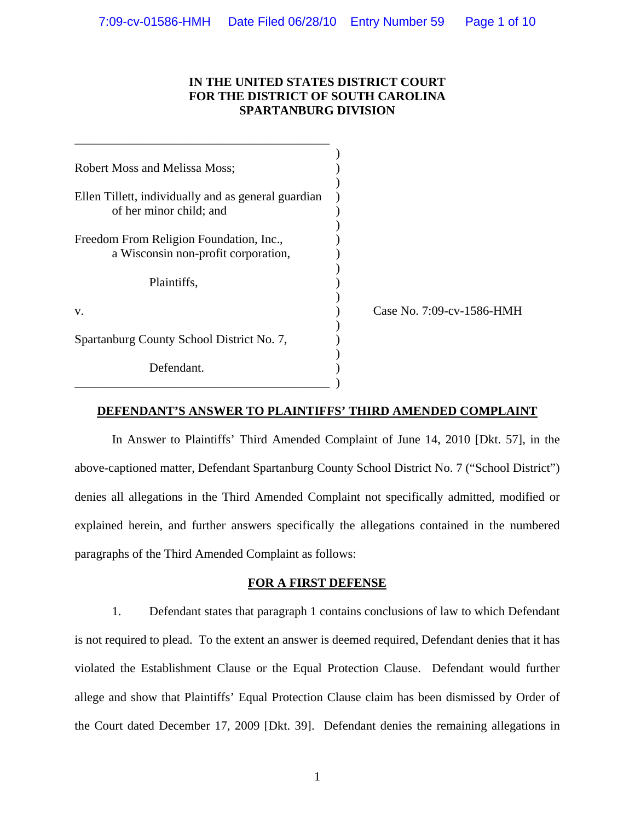# **IN THE UNITED STATES DISTRICT COURT FOR THE DISTRICT OF SOUTH CAROLINA SPARTANBURG DIVISION**

| <b>Robert Moss and Melissa Moss;</b>                                           |                           |
|--------------------------------------------------------------------------------|---------------------------|
| Ellen Tillett, individually and as general guardian<br>of her minor child; and |                           |
| Freedom From Religion Foundation, Inc.,<br>a Wisconsin non-profit corporation, |                           |
| Plaintiffs,                                                                    |                           |
| V.                                                                             | Case No. 7:09-cv-1586-HMH |
| Spartanburg County School District No. 7,                                      |                           |
| Defendant.                                                                     |                           |

## **DEFENDANT'S ANSWER TO PLAINTIFFS' THIRD AMENDED COMPLAINT**

In Answer to Plaintiffs' Third Amended Complaint of June 14, 2010 [Dkt. 57], in the above-captioned matter, Defendant Spartanburg County School District No. 7 ("School District") denies all allegations in the Third Amended Complaint not specifically admitted, modified or explained herein, and further answers specifically the allegations contained in the numbered paragraphs of the Third Amended Complaint as follows:

## **FOR A FIRST DEFENSE**

 1. Defendant states that paragraph 1 contains conclusions of law to which Defendant is not required to plead. To the extent an answer is deemed required, Defendant denies that it has violated the Establishment Clause or the Equal Protection Clause. Defendant would further allege and show that Plaintiffs' Equal Protection Clause claim has been dismissed by Order of the Court dated December 17, 2009 [Dkt. 39]. Defendant denies the remaining allegations in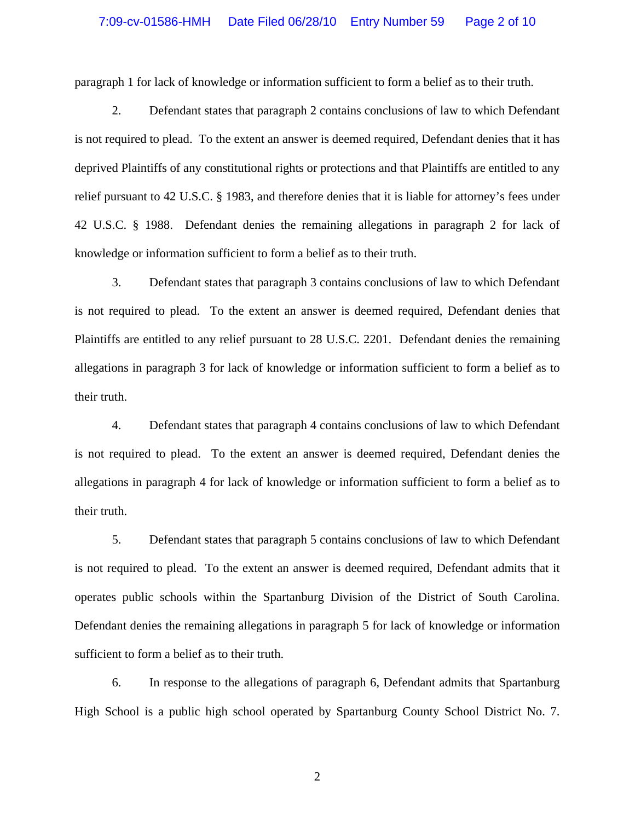## 7:09-cv-01586-HMH Date Filed 06/28/10 Entry Number 59 Page 2 of 10

paragraph 1 for lack of knowledge or information sufficient to form a belief as to their truth.

2. Defendant states that paragraph 2 contains conclusions of law to which Defendant is not required to plead. To the extent an answer is deemed required, Defendant denies that it has deprived Plaintiffs of any constitutional rights or protections and that Plaintiffs are entitled to any relief pursuant to 42 U.S.C. § 1983, and therefore denies that it is liable for attorney's fees under 42 U.S.C. § 1988. Defendant denies the remaining allegations in paragraph 2 for lack of knowledge or information sufficient to form a belief as to their truth.

 3. Defendant states that paragraph 3 contains conclusions of law to which Defendant is not required to plead. To the extent an answer is deemed required, Defendant denies that Plaintiffs are entitled to any relief pursuant to 28 U.S.C. 2201. Defendant denies the remaining allegations in paragraph 3 for lack of knowledge or information sufficient to form a belief as to their truth.

 4. Defendant states that paragraph 4 contains conclusions of law to which Defendant is not required to plead. To the extent an answer is deemed required, Defendant denies the allegations in paragraph 4 for lack of knowledge or information sufficient to form a belief as to their truth.

 5. Defendant states that paragraph 5 contains conclusions of law to which Defendant is not required to plead. To the extent an answer is deemed required, Defendant admits that it operates public schools within the Spartanburg Division of the District of South Carolina. Defendant denies the remaining allegations in paragraph 5 for lack of knowledge or information sufficient to form a belief as to their truth.

6. In response to the allegations of paragraph 6, Defendant admits that Spartanburg High School is a public high school operated by Spartanburg County School District No. 7.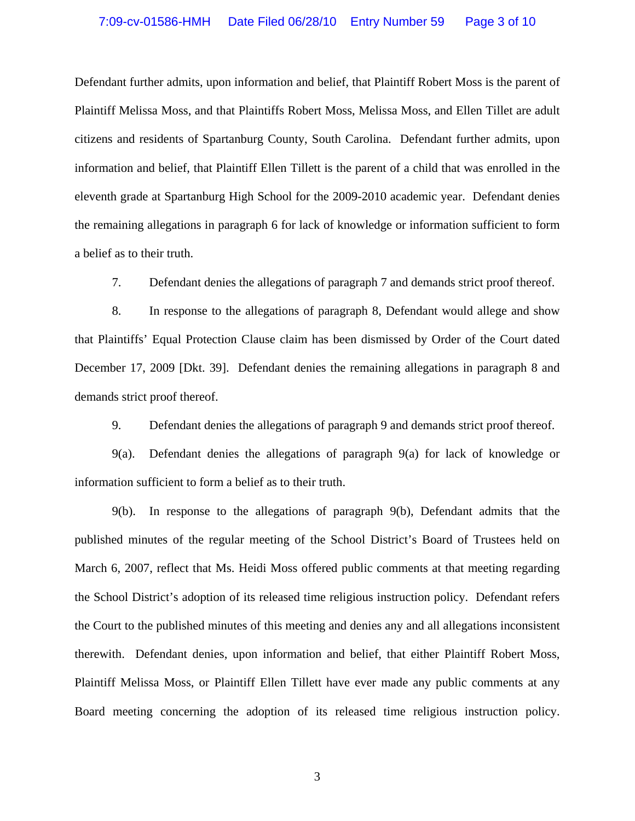## 7:09-cv-01586-HMH Date Filed 06/28/10 Entry Number 59 Page 3 of 10

Defendant further admits, upon information and belief, that Plaintiff Robert Moss is the parent of Plaintiff Melissa Moss, and that Plaintiffs Robert Moss, Melissa Moss, and Ellen Tillet are adult citizens and residents of Spartanburg County, South Carolina. Defendant further admits, upon information and belief, that Plaintiff Ellen Tillett is the parent of a child that was enrolled in the eleventh grade at Spartanburg High School for the 2009-2010 academic year. Defendant denies the remaining allegations in paragraph 6 for lack of knowledge or information sufficient to form a belief as to their truth.

7. Defendant denies the allegations of paragraph 7 and demands strict proof thereof.

 8. In response to the allegations of paragraph 8, Defendant would allege and show that Plaintiffs' Equal Protection Clause claim has been dismissed by Order of the Court dated December 17, 2009 [Dkt. 39]. Defendant denies the remaining allegations in paragraph 8 and demands strict proof thereof.

9. Defendant denies the allegations of paragraph 9 and demands strict proof thereof.

 9(a). Defendant denies the allegations of paragraph 9(a) for lack of knowledge or information sufficient to form a belief as to their truth.

 9(b). In response to the allegations of paragraph 9(b), Defendant admits that the published minutes of the regular meeting of the School District's Board of Trustees held on March 6, 2007, reflect that Ms. Heidi Moss offered public comments at that meeting regarding the School District's adoption of its released time religious instruction policy. Defendant refers the Court to the published minutes of this meeting and denies any and all allegations inconsistent therewith. Defendant denies, upon information and belief, that either Plaintiff Robert Moss, Plaintiff Melissa Moss, or Plaintiff Ellen Tillett have ever made any public comments at any Board meeting concerning the adoption of its released time religious instruction policy.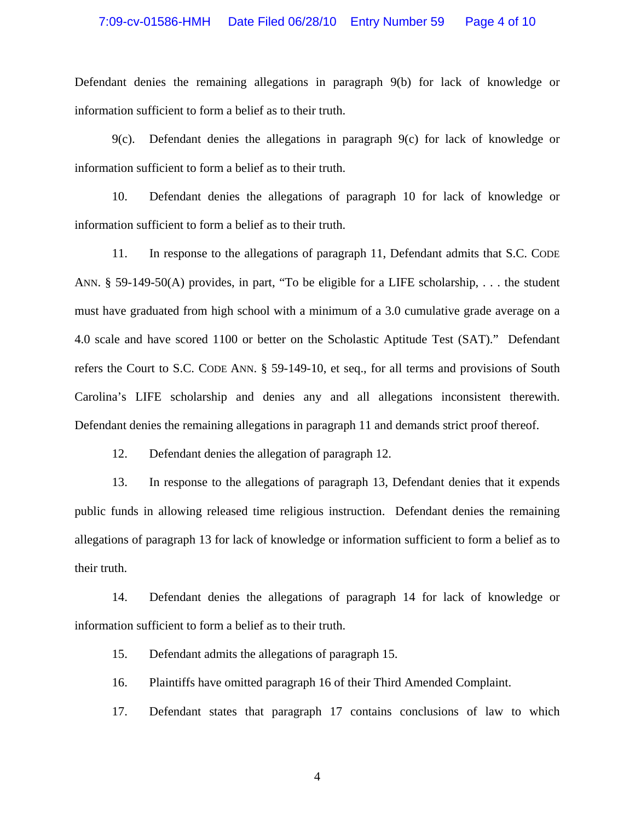#### 7:09-cv-01586-HMH Date Filed 06/28/10 Entry Number 59 Page 4 of 10

Defendant denies the remaining allegations in paragraph 9(b) for lack of knowledge or information sufficient to form a belief as to their truth.

9(c). Defendant denies the allegations in paragraph 9(c) for lack of knowledge or information sufficient to form a belief as to their truth.

 10. Defendant denies the allegations of paragraph 10 for lack of knowledge or information sufficient to form a belief as to their truth.

 11. In response to the allegations of paragraph 11, Defendant admits that S.C. CODE ANN. § 59-149-50(A) provides, in part, "To be eligible for a LIFE scholarship, . . . the student must have graduated from high school with a minimum of a 3.0 cumulative grade average on a 4.0 scale and have scored 1100 or better on the Scholastic Aptitude Test (SAT)." Defendant refers the Court to S.C. CODE ANN. § 59-149-10, et seq., for all terms and provisions of South Carolina's LIFE scholarship and denies any and all allegations inconsistent therewith. Defendant denies the remaining allegations in paragraph 11 and demands strict proof thereof.

12. Defendant denies the allegation of paragraph 12.

13. In response to the allegations of paragraph 13, Defendant denies that it expends public funds in allowing released time religious instruction. Defendant denies the remaining allegations of paragraph 13 for lack of knowledge or information sufficient to form a belief as to their truth.

 14. Defendant denies the allegations of paragraph 14 for lack of knowledge or information sufficient to form a belief as to their truth.

15. Defendant admits the allegations of paragraph 15.

16. Plaintiffs have omitted paragraph 16 of their Third Amended Complaint.

17. Defendant states that paragraph 17 contains conclusions of law to which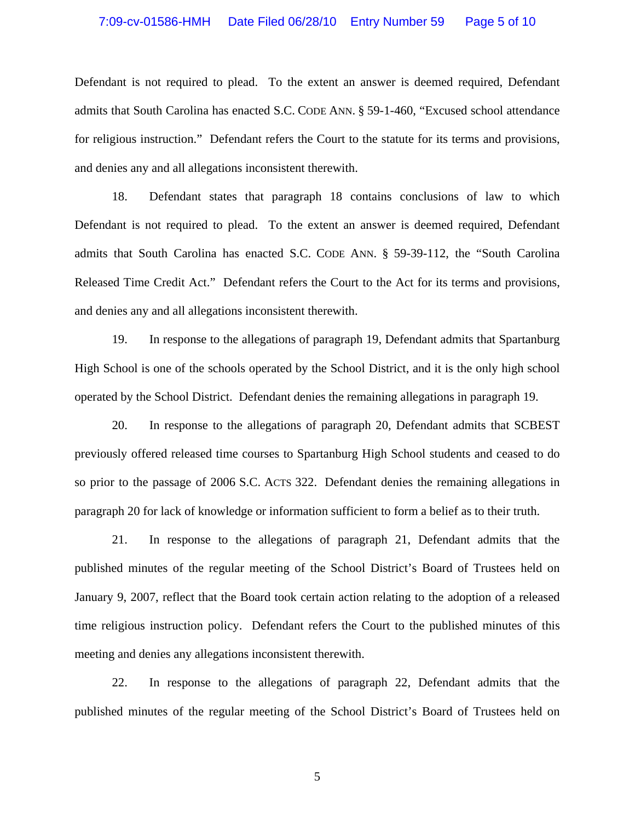#### 7:09-cv-01586-HMH Date Filed 06/28/10 Entry Number 59 Page 5 of 10

Defendant is not required to plead. To the extent an answer is deemed required, Defendant admits that South Carolina has enacted S.C. CODE ANN. § 59-1-460, "Excused school attendance for religious instruction." Defendant refers the Court to the statute for its terms and provisions, and denies any and all allegations inconsistent therewith.

 18. Defendant states that paragraph 18 contains conclusions of law to which Defendant is not required to plead. To the extent an answer is deemed required, Defendant admits that South Carolina has enacted S.C. CODE ANN. § 59-39-112, the "South Carolina Released Time Credit Act." Defendant refers the Court to the Act for its terms and provisions, and denies any and all allegations inconsistent therewith.

 19. In response to the allegations of paragraph 19, Defendant admits that Spartanburg High School is one of the schools operated by the School District, and it is the only high school operated by the School District. Defendant denies the remaining allegations in paragraph 19.

 20. In response to the allegations of paragraph 20, Defendant admits that SCBEST previously offered released time courses to Spartanburg High School students and ceased to do so prior to the passage of 2006 S.C. ACTS 322. Defendant denies the remaining allegations in paragraph 20 for lack of knowledge or information sufficient to form a belief as to their truth.

21. In response to the allegations of paragraph 21, Defendant admits that the published minutes of the regular meeting of the School District's Board of Trustees held on January 9, 2007, reflect that the Board took certain action relating to the adoption of a released time religious instruction policy. Defendant refers the Court to the published minutes of this meeting and denies any allegations inconsistent therewith.

22. In response to the allegations of paragraph 22, Defendant admits that the published minutes of the regular meeting of the School District's Board of Trustees held on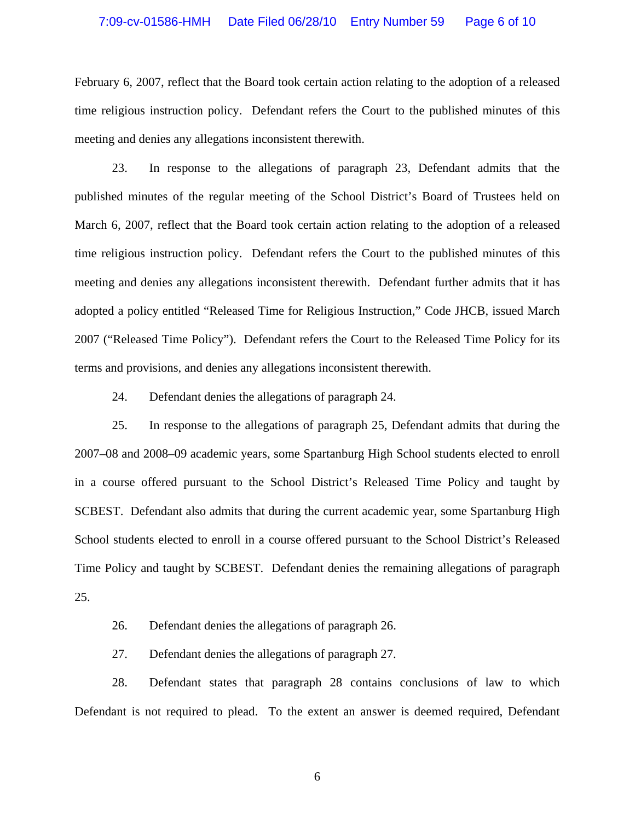## 7:09-cv-01586-HMH Date Filed 06/28/10 Entry Number 59 Page 6 of 10

February 6, 2007, reflect that the Board took certain action relating to the adoption of a released time religious instruction policy. Defendant refers the Court to the published minutes of this meeting and denies any allegations inconsistent therewith.

23. In response to the allegations of paragraph 23, Defendant admits that the published minutes of the regular meeting of the School District's Board of Trustees held on March 6, 2007, reflect that the Board took certain action relating to the adoption of a released time religious instruction policy. Defendant refers the Court to the published minutes of this meeting and denies any allegations inconsistent therewith. Defendant further admits that it has adopted a policy entitled "Released Time for Religious Instruction," Code JHCB, issued March 2007 ("Released Time Policy"). Defendant refers the Court to the Released Time Policy for its terms and provisions, and denies any allegations inconsistent therewith.

24. Defendant denies the allegations of paragraph 24.

25. In response to the allegations of paragraph 25, Defendant admits that during the 2007–08 and 2008–09 academic years, some Spartanburg High School students elected to enroll in a course offered pursuant to the School District's Released Time Policy and taught by SCBEST. Defendant also admits that during the current academic year, some Spartanburg High School students elected to enroll in a course offered pursuant to the School District's Released Time Policy and taught by SCBEST. Defendant denies the remaining allegations of paragraph 25.

26. Defendant denies the allegations of paragraph 26.

27. Defendant denies the allegations of paragraph 27.

28. Defendant states that paragraph 28 contains conclusions of law to which Defendant is not required to plead. To the extent an answer is deemed required, Defendant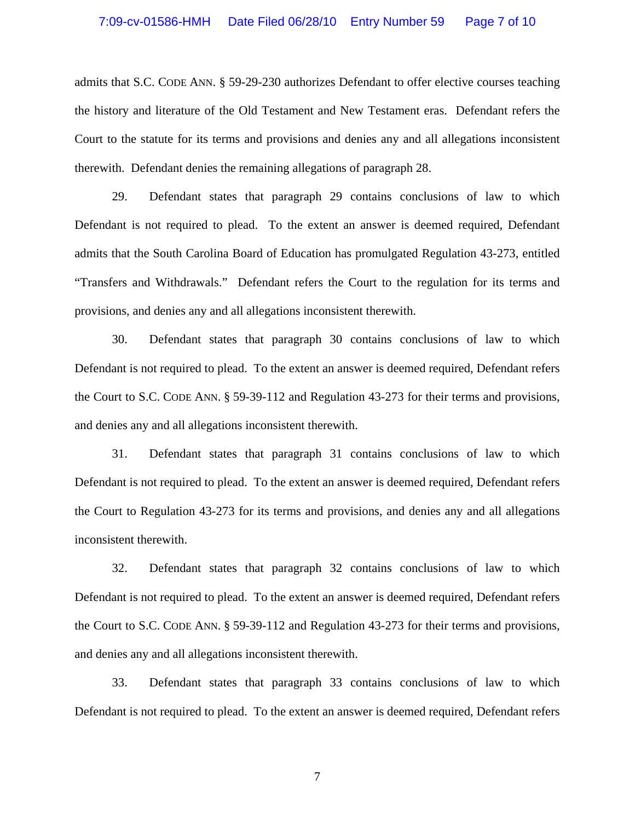admits that S.C. CODE ANN. § 59-29-230 authorizes Defendant to offer elective courses teaching the history and literature of the Old Testament and New Testament eras. Defendant refers the Court to the statute for its terms and provisions and denies any and all allegations inconsistent therewith. Defendant denies the remaining allegations of paragraph 28.

 29. Defendant states that paragraph 29 contains conclusions of law to which Defendant is not required to plead. To the extent an answer is deemed required, Defendant admits that the South Carolina Board of Education has promulgated Regulation 43-273, entitled "Transfers and Withdrawals." Defendant refers the Court to the regulation for its terms and provisions, and denies any and all allegations inconsistent therewith.

30. Defendant states that paragraph 30 contains conclusions of law to which Defendant is not required to plead. To the extent an answer is deemed required, Defendant refers the Court to S.C. CODE ANN. § 59-39-112 and Regulation 43-273 for their terms and provisions, and denies any and all allegations inconsistent therewith.

31. Defendant states that paragraph 31 contains conclusions of law to which Defendant is not required to plead. To the extent an answer is deemed required, Defendant refers the Court to Regulation 43-273 for its terms and provisions, and denies any and all allegations inconsistent therewith.

32. Defendant states that paragraph 32 contains conclusions of law to which Defendant is not required to plead. To the extent an answer is deemed required, Defendant refers the Court to S.C. CODE ANN. § 59-39-112 and Regulation 43-273 for their terms and provisions, and denies any and all allegations inconsistent therewith.

33. Defendant states that paragraph 33 contains conclusions of law to which Defendant is not required to plead. To the extent an answer is deemed required, Defendant refers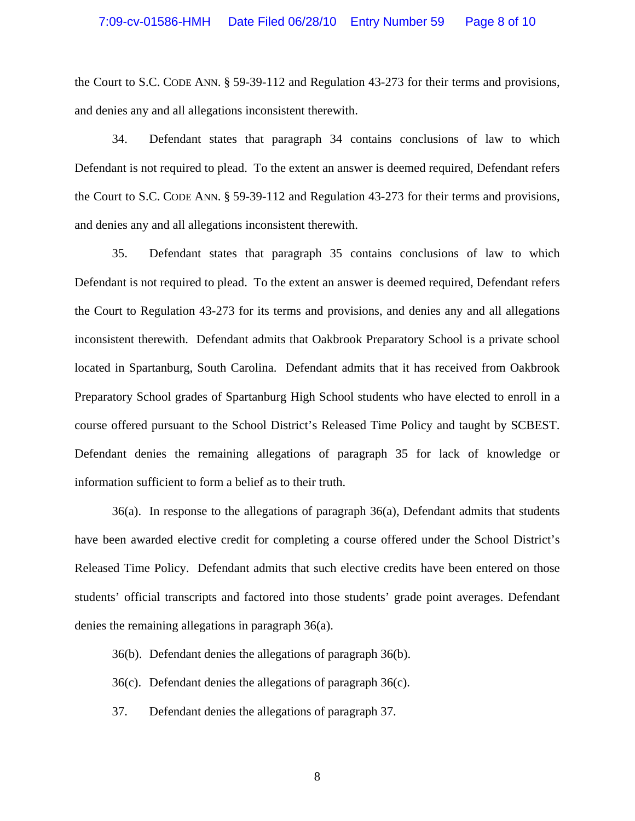the Court to S.C. CODE ANN. § 59-39-112 and Regulation 43-273 for their terms and provisions, and denies any and all allegations inconsistent therewith.

 34. Defendant states that paragraph 34 contains conclusions of law to which Defendant is not required to plead. To the extent an answer is deemed required, Defendant refers the Court to S.C. CODE ANN. § 59-39-112 and Regulation 43-273 for their terms and provisions, and denies any and all allegations inconsistent therewith.

 35. Defendant states that paragraph 35 contains conclusions of law to which Defendant is not required to plead. To the extent an answer is deemed required, Defendant refers the Court to Regulation 43-273 for its terms and provisions, and denies any and all allegations inconsistent therewith. Defendant admits that Oakbrook Preparatory School is a private school located in Spartanburg, South Carolina. Defendant admits that it has received from Oakbrook Preparatory School grades of Spartanburg High School students who have elected to enroll in a course offered pursuant to the School District's Released Time Policy and taught by SCBEST. Defendant denies the remaining allegations of paragraph 35 for lack of knowledge or information sufficient to form a belief as to their truth.

 36(a). In response to the allegations of paragraph 36(a), Defendant admits that students have been awarded elective credit for completing a course offered under the School District's Released Time Policy. Defendant admits that such elective credits have been entered on those students' official transcripts and factored into those students' grade point averages. Defendant denies the remaining allegations in paragraph 36(a).

36(b). Defendant denies the allegations of paragraph 36(b).

36(c). Defendant denies the allegations of paragraph 36(c).

37. Defendant denies the allegations of paragraph 37.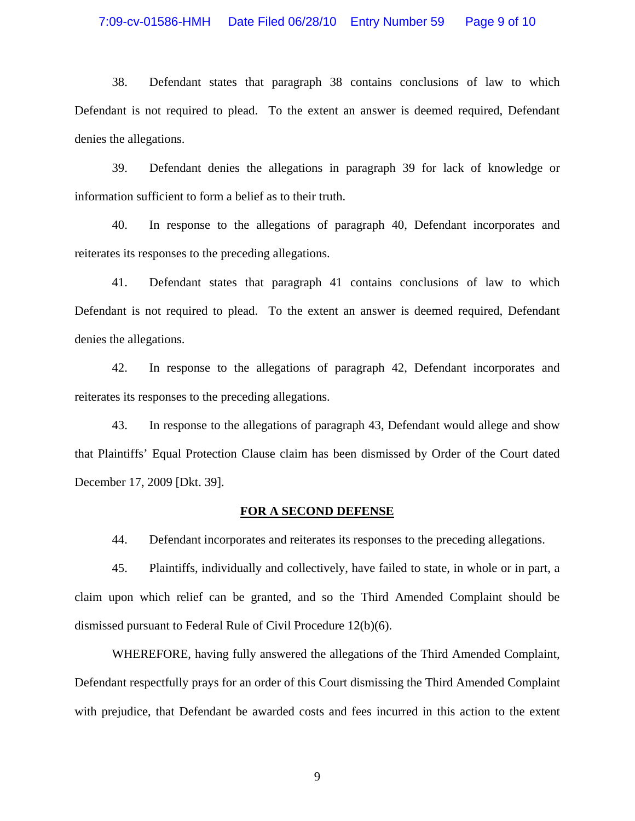#### 7:09-cv-01586-HMH Date Filed 06/28/10 Entry Number 59 Page 9 of 10

38. Defendant states that paragraph 38 contains conclusions of law to which Defendant is not required to plead. To the extent an answer is deemed required, Defendant denies the allegations.

39. Defendant denies the allegations in paragraph 39 for lack of knowledge or information sufficient to form a belief as to their truth.

40. In response to the allegations of paragraph 40, Defendant incorporates and reiterates its responses to the preceding allegations.

41. Defendant states that paragraph 41 contains conclusions of law to which Defendant is not required to plead. To the extent an answer is deemed required, Defendant denies the allegations.

42. In response to the allegations of paragraph 42, Defendant incorporates and reiterates its responses to the preceding allegations.

43. In response to the allegations of paragraph 43, Defendant would allege and show that Plaintiffs' Equal Protection Clause claim has been dismissed by Order of the Court dated December 17, 2009 [Dkt. 39].

#### **FOR A SECOND DEFENSE**

44. Defendant incorporates and reiterates its responses to the preceding allegations.

45. Plaintiffs, individually and collectively, have failed to state, in whole or in part, a claim upon which relief can be granted, and so the Third Amended Complaint should be dismissed pursuant to Federal Rule of Civil Procedure 12(b)(6).

 WHEREFORE, having fully answered the allegations of the Third Amended Complaint, Defendant respectfully prays for an order of this Court dismissing the Third Amended Complaint with prejudice, that Defendant be awarded costs and fees incurred in this action to the extent